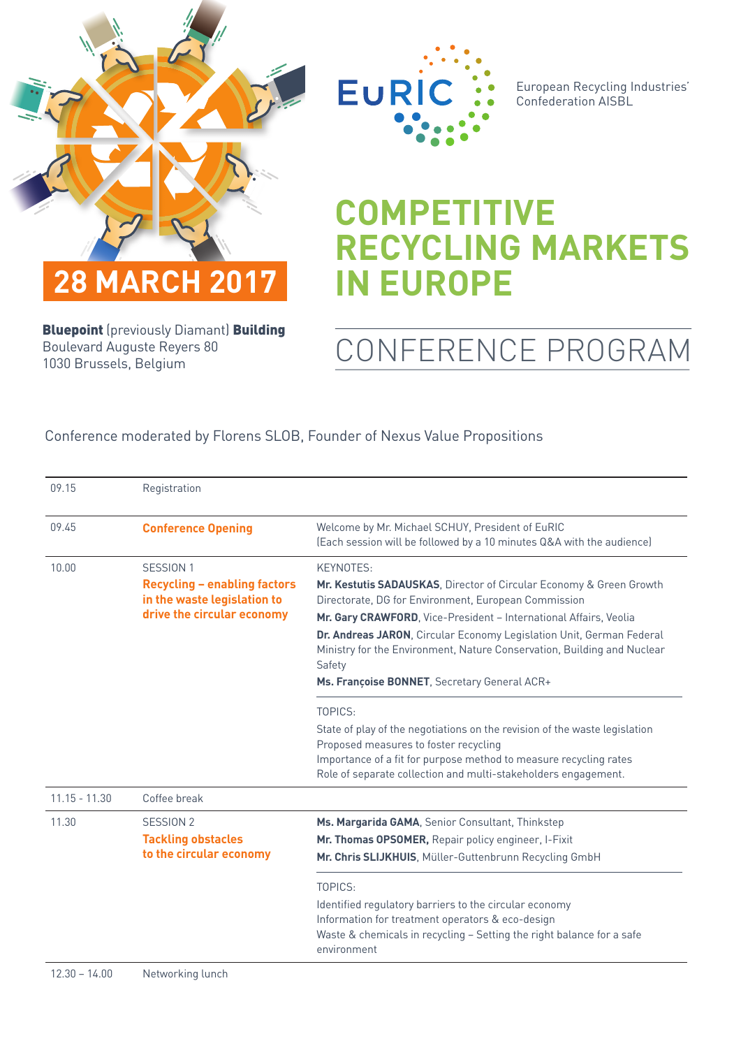



European Recycling Industries' Confederation AISBL

## **COMPETITIVE RECYCLING MARKETS IN EUROPE**

**Bluepoint** (previously Diamant) **Building** Boulevard Auguste Reyers 80 1030 Brussels, Belgium

## CONFERENCE PROGRAM

## Conference moderated by Florens SLOB, Founder of Nexus Value Propositions

| 09.15           | Registration                                                       |                                                                                                                                                           |
|-----------------|--------------------------------------------------------------------|-----------------------------------------------------------------------------------------------------------------------------------------------------------|
| 09.45           | <b>Conference Opening</b>                                          | Welcome by Mr. Michael SCHUY, President of EuRIC<br>(Each session will be followed by a 10 minutes Q&A with the audience)                                 |
| 10.00           | SESSION 1                                                          | KEYNOTES:                                                                                                                                                 |
|                 | <b>Recycling - enabling factors</b><br>in the waste legislation to | Mr. Kestutis SADAUSKAS, Director of Circular Economy & Green Growth<br>Directorate, DG for Environment, European Commission                               |
|                 | drive the circular economy                                         | Mr. Gary CRAWFORD, Vice-President - International Affairs, Veolia                                                                                         |
|                 |                                                                    | Dr. Andreas JARON, Circular Economy Legislation Unit, German Federal<br>Ministry for the Environment, Nature Conservation, Building and Nuclear<br>Safety |
|                 |                                                                    | Ms. Françoise BONNET, Secretary General ACR+                                                                                                              |
|                 |                                                                    | TOPICS:                                                                                                                                                   |
|                 |                                                                    | State of play of the negotiations on the revision of the waste legislation<br>Proposed measures to foster recycling                                       |
|                 |                                                                    | Importance of a fit for purpose method to measure recycling rates<br>Role of separate collection and multi-stakeholders engagement.                       |
| $11.15 - 11.30$ | Coffee break                                                       |                                                                                                                                                           |
| 11.30           | SESSION 2                                                          | Ms. Margarida GAMA, Senior Consultant, Thinkstep                                                                                                          |
|                 | <b>Tackling obstacles</b>                                          | Mr. Thomas OPSOMER, Repair policy engineer, I-Fixit                                                                                                       |
|                 | to the circular economy                                            | Mr. Chris SLIJKHUIS, Müller-Guttenbrunn Recycling GmbH                                                                                                    |
|                 |                                                                    | TOPICS:                                                                                                                                                   |
|                 |                                                                    | Identified regulatory barriers to the circular economy                                                                                                    |
|                 |                                                                    | Information for treatment operators & eco-design                                                                                                          |
|                 |                                                                    | Waste & chemicals in recycling - Setting the right balance for a safe<br>environment                                                                      |